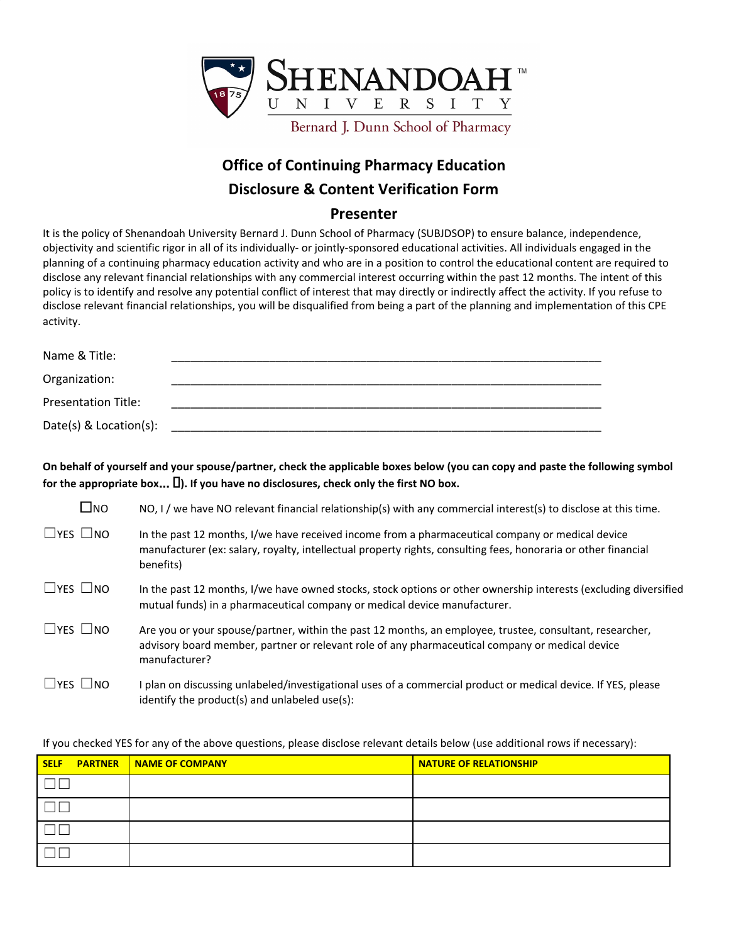

## **Office of Continuing Pharmacy Education Disclosure & Content Verification Form**

## **Presenter**

It is the policy of Shenandoah University Bernard J. Dunn School of Pharmacy (SUBJDSOP) to ensure balance, independence, objectivity and scientific rigor in all of its individually- or jointly-sponsored educational activities. All individuals engaged in the planning of a continuing pharmacy education activity and who are in a position to control the educational content are required to disclose any relevant financial relationships with any commercial interest occurring within the past 12 months. The intent of this policy is to identify and resolve any potential conflict of interest that may directly or indirectly affect the activity. If you refuse to disclose relevant financial relationships, you will be disqualified from being a part of the planning and implementation of this CPE activity.

| Name & Title:              |  |
|----------------------------|--|
| Organization:              |  |
| <b>Presentation Title:</b> |  |
| Date(s) $& Location(s):$   |  |

On behalf of yourself and your spouse/partner, check the applicable boxes below (you can copy and paste the following symbol **for the appropriate box**… **). If you have no disclosures, check only the first NO box.**

| $\square$ NO               | NO, I / we have NO relevant financial relationship(s) with any commercial interest(s) to disclose at this time.                                                                                                                 |
|----------------------------|---------------------------------------------------------------------------------------------------------------------------------------------------------------------------------------------------------------------------------|
| $\Box$ YES $\Box$ NO       | In the past 12 months, I/we have received income from a pharmaceutical company or medical device<br>manufacturer (ex: salary, royalty, intellectual property rights, consulting fees, honoraria or other financial<br>benefits) |
| $\Box$ YES $\Box$ NO       | In the past 12 months, I/we have owned stocks, stock options or other ownership interests (excluding diversified<br>mutual funds) in a pharmaceutical company or medical device manufacturer.                                   |
| $\square$ YES $\square$ NO | Are you or your spouse/partner, within the past 12 months, an employee, trustee, consultant, researcher,<br>advisory board member, partner or relevant role of any pharmaceutical company or medical device<br>manufacturer?    |
| $\Box$ YES $\Box$ NO       | I plan on discussing unlabeled/investigational uses of a commercial product or medical device. If YES, please<br>identify the product(s) and unlabeled use(s):                                                                  |

If you checked YES for any of the above questions, please disclose relevant details below (use additional rows if necessary):

| <b>PARTNER</b><br><b>SELF</b> | NAME OF COMPANY | <b>NATURE OF RELATIONSHIP</b> |
|-------------------------------|-----------------|-------------------------------|
|                               |                 |                               |
|                               |                 |                               |
|                               |                 |                               |
|                               |                 |                               |